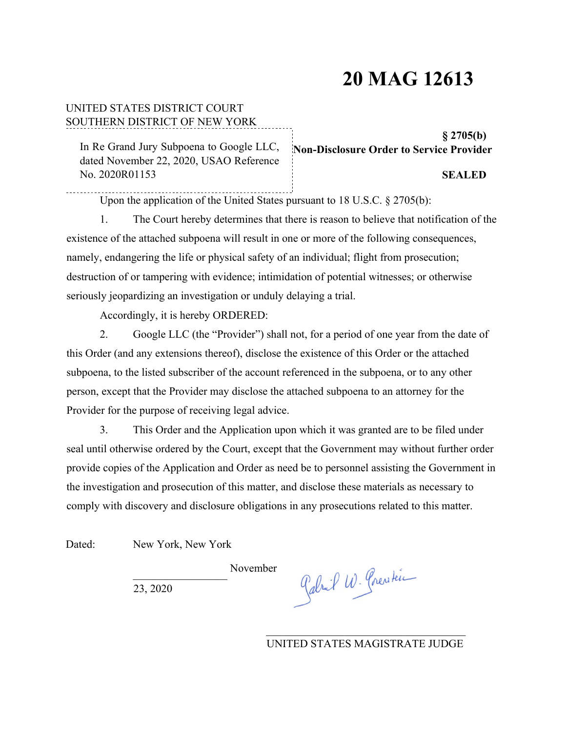# **20 MAG 12613**

#### UNITED STATES DISTRICT COURT SOUTHERN DISTRICT OF NEW YORK

In Re Grand Jury Subpoena to Google LLC, dated November 22, 2020, USAO Reference No. 2020R01153

#### **§ 2705(b) Non-Disclosure Order to Service Provider**

#### **SEALED**

Upon the application of the United States pursuant to 18 U.S.C. § 2705(b):

1. The Court hereby determines that there is reason to believe that notification of the existence of the attached subpoena will result in one or more of the following consequences, namely, endangering the life or physical safety of an individual; flight from prosecution; destruction of or tampering with evidence; intimidation of potential witnesses; or otherwise seriously jeopardizing an investigation or unduly delaying a trial.

Accordingly, it is hereby ORDERED:

2. Google LLC (the "Provider") shall not, for a period of one year from the date of this Order (and any extensions thereof), disclose the existence of this Order or the attached subpoena, to the listed subscriber of the account referenced in the subpoena, or to any other person, except that the Provider may disclose the attached subpoena to an attorney for the Provider for the purpose of receiving legal advice.

3. This Order and the Application upon which it was granted are to be filed under seal until otherwise ordered by the Court, except that the Government may without further order provide copies of the Application and Order as need be to personnel assisting the Government in the investigation and prosecution of this matter, and disclose these materials as necessary to comply with discovery and disclosure obligations in any prosecutions related to this matter.

Dated: New York, New York

November

23, 2020

Gabril W. Crestein

UNITED STATES MAGISTRATE JUDGE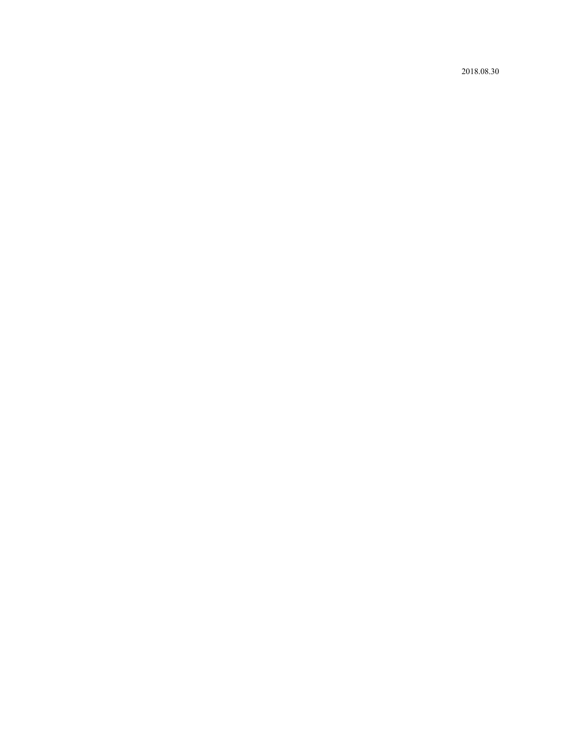2018.08.30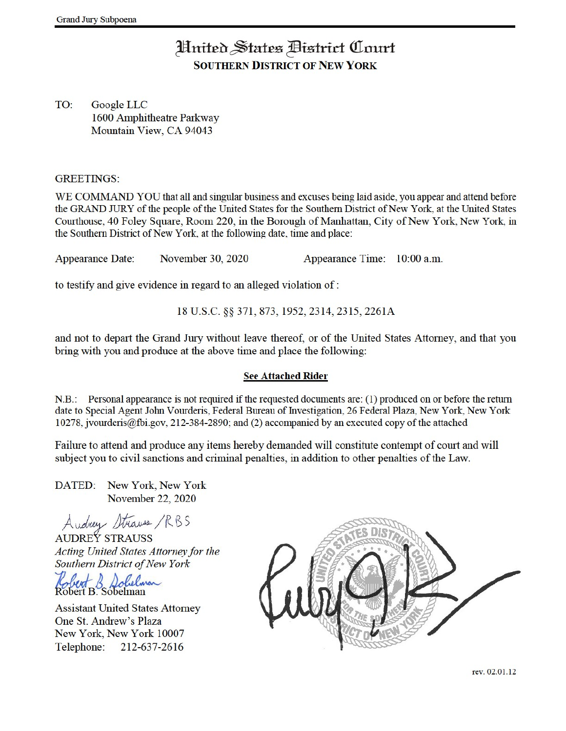## Hnited States Bistrict Court **SOUTHERN DISTRICT OF NEW YORK**

TO: Google LLC 1600 Amphitheatre Parkway Mountain View, CA 94043

#### **GREETINGS:**

WE COMMAND YOU that all and singular business and excuses being laid aside, you appear and attend before the GRAND JURY of the people of the United States for the Southern District of New York, at the United States Courthouse, 40 Foley Square, Room 220, in the Borough of Manhattan, City of New York, New York, in the Southern District of New York, at the following date, time and place:

November 30, 2020 Appearance Time: 10:00 a.m. **Appearance Date:** 

to testify and give evidence in regard to an alleged violation of:

18 U.S.C. §§ 371, 873, 1952, 2314, 2315, 2261A

and not to depart the Grand Jury without leave thereof, or of the United States Attorney, and that you bring with you and produce at the above time and place the following:

#### **See Attached Rider**

N.B.: Personal appearance is not required if the requested documents are: (1) produced on or before the return date to Special Agent John Vourderis, Federal Bureau of Investigation, 26 Federal Plaza, New York, New York  $10278$ , ivourderis@fbi.gov, 212-384-2890; and (2) accompanied by an executed copy of the attached

Failure to attend and produce any items hereby demanded will constitute contempt of court and will subject you to civil sanctions and criminal penalties, in addition to other penalties of the Law.

DATED: New York, New York November 22, 2020

Audrey Strauss /RBS

**AUDREY STRAUSS** Acting United States Attorney for the Southern District of New York

**Assistant United States Attorney** One St. Andrew's Plaza New York, New York 10007 Telephone: 212-637-2616

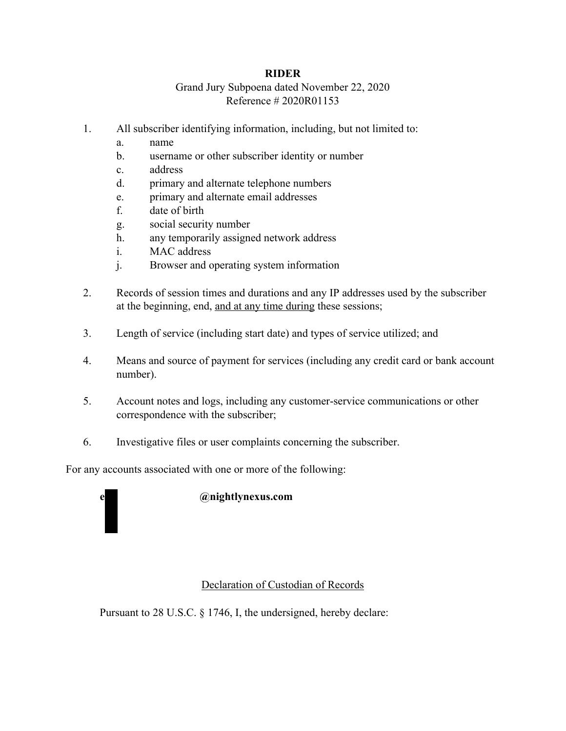#### **RIDER**

### Grand Jury Subpoena dated November 22, 2020 Reference # 2020R01153

- 1. All subscriber identifying information, including, but not limited to:
	- a. name
	- b. username or other subscriber identity or number
	- c. address
	- d. primary and alternate telephone numbers
	- e. primary and alternate email addresses
	- f. date of birth
	- g. social security number
	- h. any temporarily assigned network address
	- i. MAC address
	- j. Browser and operating system information
- 2. Records of session times and durations and any IP addresses used by the subscriber at the beginning, end, and at any time during these sessions;
- 3. Length of service (including start date) and types of service utilized; and
- 4. Means and source of payment for services (including any credit card or bank account number).
- 5. Account notes and logs, including any customer-service communications or other correspondence with the subscriber;
- 6. Investigative files or user complaints concerning the subscriber.

For any accounts associated with one or more of the following:



#### **@nightlynexus.com**

#### Declaration of Custodian of Records

Pursuant to 28 U.S.C. § 1746, I, the undersigned, hereby declare: